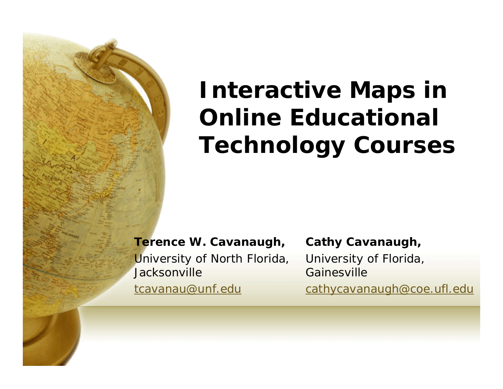# **Interactive Maps in Online Educational Technology Courses**

**Terence W. Cavanaugh,**

University of North Florida, **Jacksonville** 

tcavanau@unf.edu

**Cathy Cavanaugh,**

University of Florida, Gainesville

cathycavanaugh@coe.ufl.edu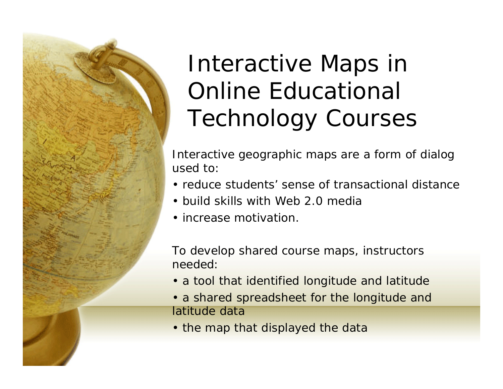

# Interactive Maps in Online Educational Technology Courses

Interactive geographic maps are a form of dialog used to:

- reduce students' sense of transactional distance
- build skills with Web 2.0 media
- increase motivation.

To develop shared course maps, instructors needed:

- a tool that identified longitude and latitude
- a shared spreadsheet for the longitude and latitude data
- the map that displayed the data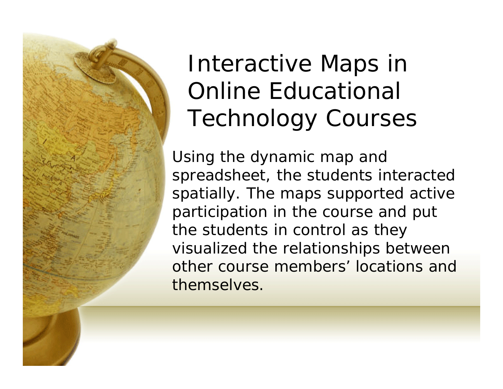

# Interactive Maps in Online Educational Technology Courses

Using the dynamic map and spreadsheet, the students interacted spatially. The maps supported active participation in the course and put the students in control as they visualized the relationships between other course members' locations and themselves.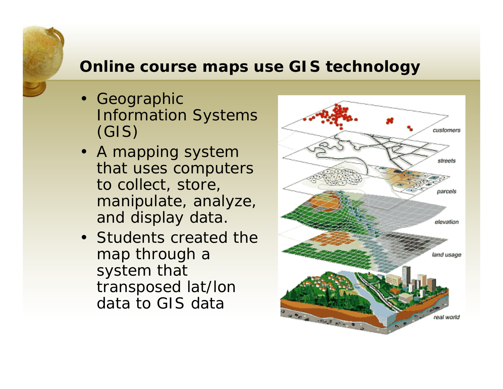#### **Online course maps use GIS technology**

- • Geographic Information Systems (GIS)
- A mapping system that uses computers to collect, store, manipulate, analyze, and display data.
- Students created the map through a system that transposed lat/lon data to GIS data

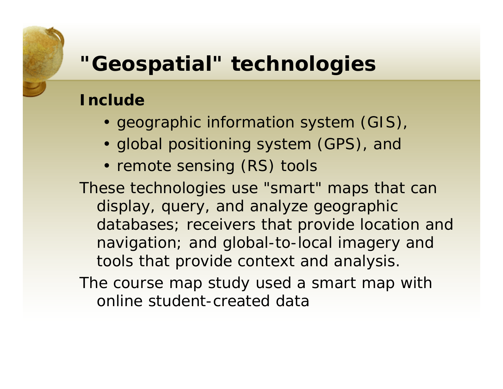#### **"Geospatial" technologies**

#### **Include**

- geographic information system (GIS),
- global positioning system (GPS), and
- remote sensing (RS) tools

These technologies use "smart" maps that can display, query, and analyze geographic databases; receivers that provide location and navigation; and global-to-local imagery and tools that provide context and analysis.

The course map study used a smart map with online student-created data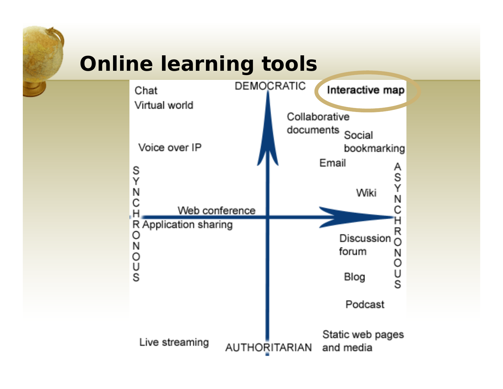## **Online learning tools**

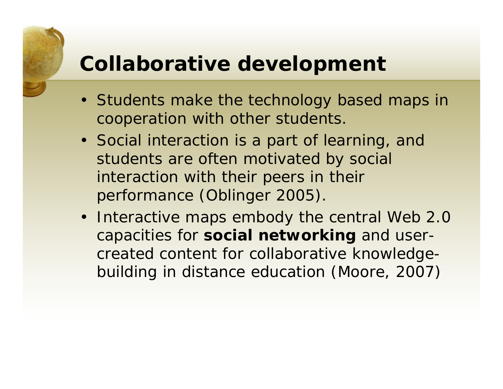#### **Collaborative development**

- Students make the technology based maps in cooperation with other students.
- Social interaction is a part of learning, and students are often motivated by social interaction with their peers in their performance (Oblinger 2005).
- Interactive maps embody the central Web 2.0 capacities for **social networking** and usercreated content for collaborative knowledgebuilding in distance education (Moore, 2007)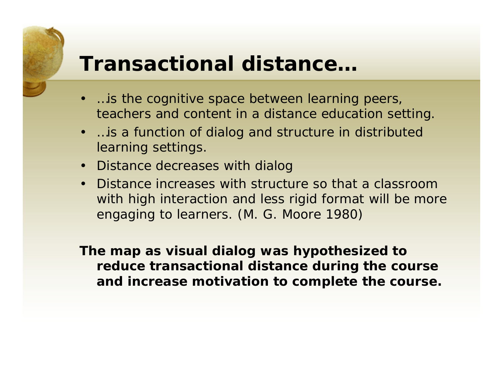#### **Transactional distance…**

- …is the cognitive space between learning peers, teachers and content in a distance education setting.
- …is a function of dialog and structure in distributed learning settings.
- Distance decreases with dialog
- Distance increases with structure so that a classroom with high interaction and less rigid format will be more engaging to learners. (M. G. Moore 1980)

**The map as visual dialog was hypothesized to reduce transactional distance during the course and increase motivation to complete the course.**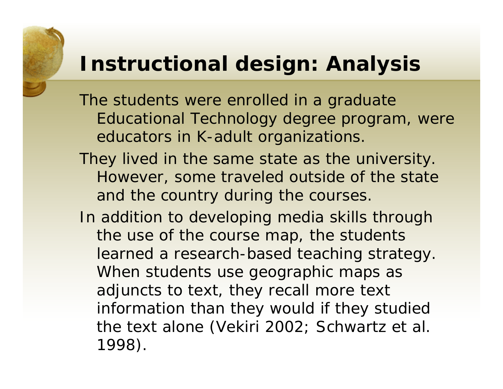#### **Instructional design: Analysis**

The students were enrolled in a graduate Educational Technology degree program, were educators in K-adult organizations.

- They lived in the same state as the university. However, some traveled outside of the state and the country during the courses.
- In addition to developing media skills through the use of the course map, the students learned a research-based teaching strategy. When students use geographic maps as adjuncts to text, they recall more text information than they would if they studied the text alone (Vekiri 2002; Schwartz et al. 1998).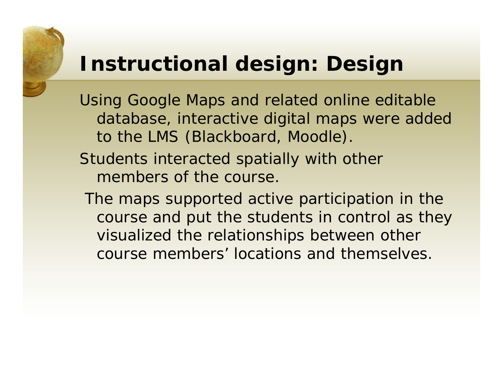#### **Instructional design: Design**

Using Google Maps and related online editable database, interactive digital maps were added to the LMS (Blackboard, Moodle).

- Students interacted spatially with other members of the course.
	- The maps supported active participation in the course and put the students in control as they visualized the relationships between other course members' locations and themselves.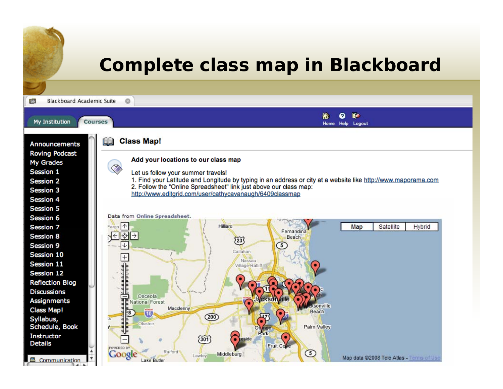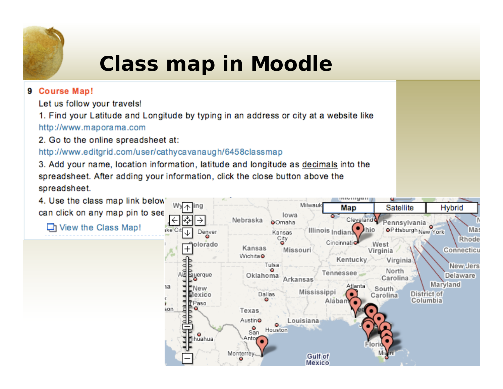

## **Class map in Moodle**

#### 9 Course Map!

Let us follow your travels!

1. Find your Latitude and Longitude by typing in an address or city at a website like http://www.maporama.com

2. Go to the online spreadsheet at:

http://www.editgrid.com/user/cathycavanaugh/6458classmap

3. Add your name, location information, latitude and longitude as decimals into the spreadsheet. After adding your information, click the close button above the spreadsheet.

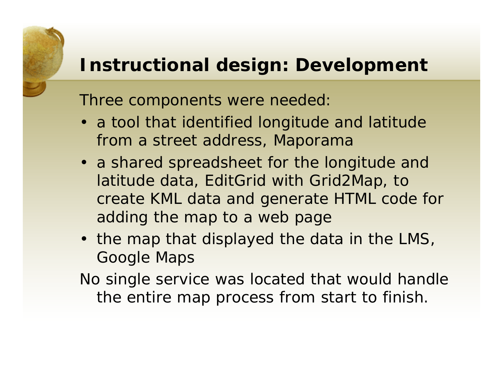#### **Instructional design: Development**

Three components were needed:

- a tool that identified longitude and latitude from a street address, *Maporama*
- a shared spreadsheet for the longitude and latitude data, *EditGrid* with *Grid2Map,* to create KML data and generate HTML code for adding the map to a web page
- the map that displayed the data in the LMS, *Google Maps*

No single service was located that would handle the entire map process from start to finish.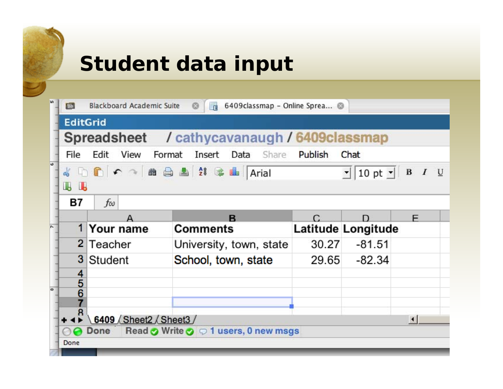## **Student data input**

|   | Blackboard Academic Suite<br>6409classmap - Online Sprea @<br><b>Bb</b><br>帚 |             |  |                         |   |                  |                    |   |
|---|------------------------------------------------------------------------------|-------------|--|-------------------------|---|------------------|--------------------|---|
|   | <b>EditGrid</b>                                                              |             |  |                         |   |                  |                    |   |
|   | Spreadsheet / cathycavanaugh / 6409 classmap                                 |             |  |                         |   |                  |                    |   |
|   | Edit<br>View<br>Format Insert<br>Data Share Publish<br>File<br>Chat          |             |  |                         |   |                  |                    |   |
| ŵ | 4 DD C O H & B & 28 & H Arial<br>$\mathbf{I}$ 10 pt $\mathbf{I}$ B I U       |             |  |                         |   |                  |                    |   |
|   | IL IL                                                                        |             |  |                         |   |                  |                    |   |
|   | Β7<br>fω                                                                     |             |  |                         |   |                  |                    |   |
|   |                                                                              |             |  |                         | R |                  |                    | F |
|   |                                                                              | 1 Your name |  | <b>Comments</b>         |   |                  | Latitude Longitude |   |
|   |                                                                              | 2 Teacher   |  | University, town, state |   | 30.27            | $-81.51$           |   |
|   |                                                                              | 3 Student   |  | School, town, state     |   | 29.65            | -82.34             |   |
|   |                                                                              |             |  |                         |   |                  |                    |   |
|   | $\frac{4}{5}$                                                                |             |  |                         |   |                  |                    |   |
|   |                                                                              |             |  |                         |   |                  |                    |   |
|   | 8<br>6409 Sheet2 Sheet3                                                      |             |  |                         |   | $\left  \right $ |                    |   |
|   | Read $\odot$ Write $\odot$ $\odot$ 1 users, 0 new msgs<br>Done               |             |  |                         |   |                  |                    |   |
|   | Done                                                                         |             |  |                         |   |                  |                    |   |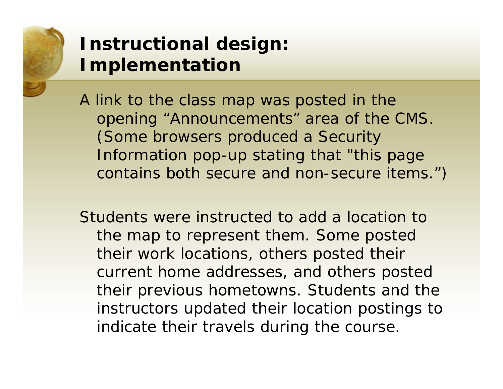

#### **Instructional design: Implementation**

A link to the class map was posted in the opening "Announcements" area of the CMS. (Some browsers produced a Security Information pop-up stating that "this page contains both secure and non-secure items.")

Students were instructed to add a location to the map to represent them. Some posted their work locations, others posted their current home addresses, and others posted their previous hometowns. Students and the instructors updated their location postings to indicate their travels during the course.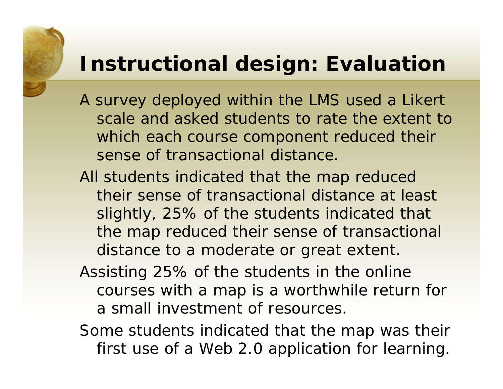#### **Instructional design: Evaluation**

- A survey deployed within the LMS used a Likert scale and asked students to rate the extent to which each course component reduced their sense of transactional distance.
- All students indicated that the map reduced their sense of transactional distance at least slightly, 25% of the students indicated that the map reduced their sense of transactional distance to a moderate or great extent.
- Assisting 25% of the students in the online courses with a map is a worthwhile return for a small investment of resources.
- Some students indicated that the map was their first use of a Web 2.0 application for learning.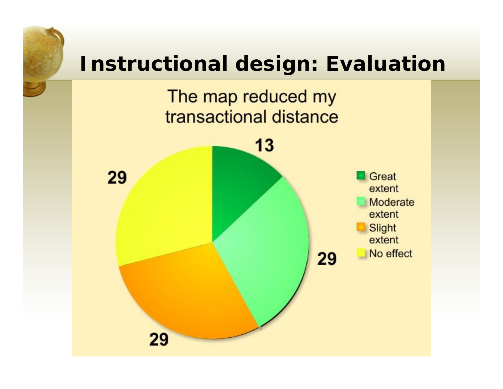

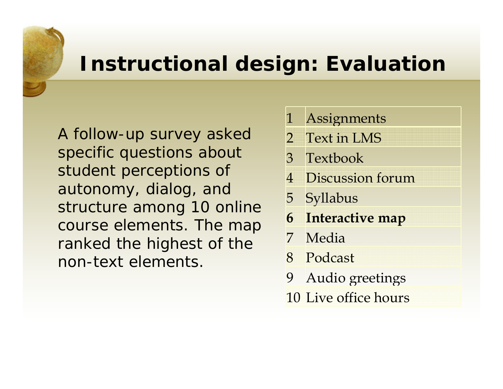#### **Instructional design: Evaluation**

A follow-up survey asked specific questions about student perceptions of autonomy, dialog, and structure among 10 online course elements. The map ranked the highest of the non-text elements.

- 1 Assignments
- 2 Text in LMS
- 3 Textbook
- 4 Discussion forum
- 5 Syllabus
- **6Interactive map**
- 7 Media
- 8 Podcast
- 9 Audio greetings
- 10 Live office hours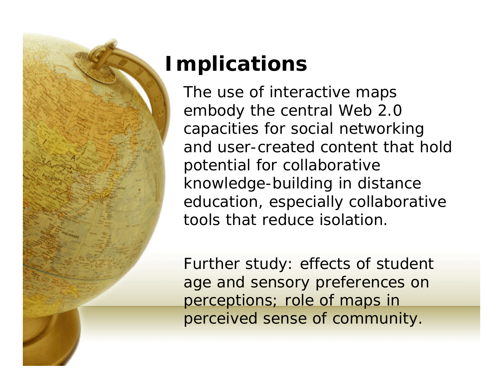

## **Implications**

The use of interactive maps embody the central Web 2.0 capacities for social networking and user-created content that hold potential for collaborative knowledge-building in distance education, especially collaborative tools that reduce isolation.

Further study: effects of student age and sensory preferences on perceptions; role of maps in perceived sense of community.